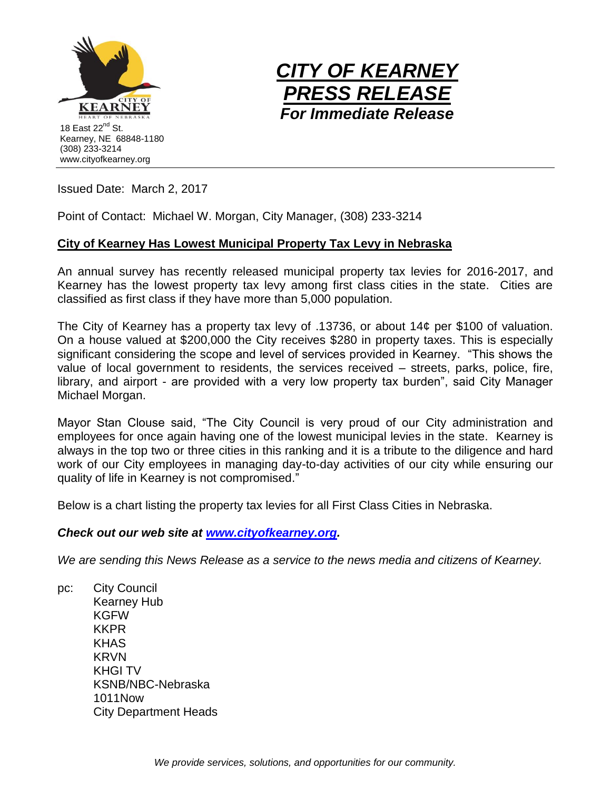



Issued Date: March 2, 2017

Point of Contact: Michael W. Morgan, City Manager, (308) 233-3214

## **City of Kearney Has Lowest Municipal Property Tax Levy in Nebraska**

An annual survey has recently released municipal property tax levies for 2016-2017, and Kearney has the lowest property tax levy among first class cities in the state. Cities are classified as first class if they have more than 5,000 population.

The City of Kearney has a property tax levy of .13736, or about 14¢ per \$100 of valuation. On a house valued at \$200,000 the City receives \$280 in property taxes. This is especially significant considering the scope and level of services provided in Kearney. "This shows the value of local government to residents, the services received – streets, parks, police, fire, library, and airport - are provided with a very low property tax burden", said City Manager Michael Morgan.

Mayor Stan Clouse said, "The City Council is very proud of our City administration and employees for once again having one of the lowest municipal levies in the state. Kearney is always in the top two or three cities in this ranking and it is a tribute to the diligence and hard work of our City employees in managing day-to-day activities of our city while ensuring our quality of life in Kearney is not compromised."

Below is a chart listing the property tax levies for all First Class Cities in Nebraska.

## *Check out our web site at [www.cityofkearney.org.](http://www.cityofkearney.org/)*

*We are sending this News Release as a service to the news media and citizens of Kearney.*

pc: City Council Kearney Hub **KGFW** KKPR KHAS KRVN KHGI TV KSNB/NBC-Nebraska 1011Now City Department Heads